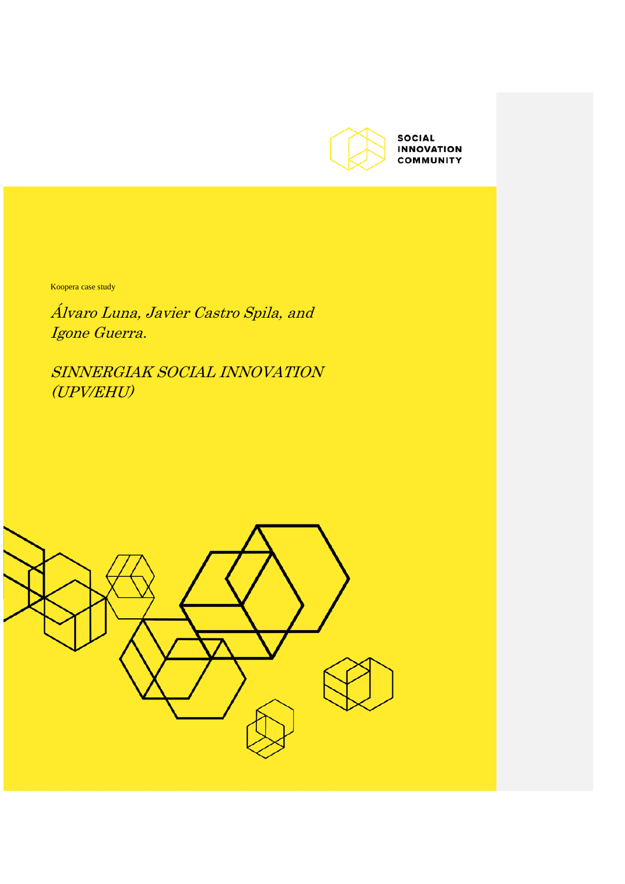

Koopera case study

Álvaro Luna, Javier Castro Spila, and Igone Guerra.

SINNERGIAK SOCIAL INNOVATION (UPV/EHU)

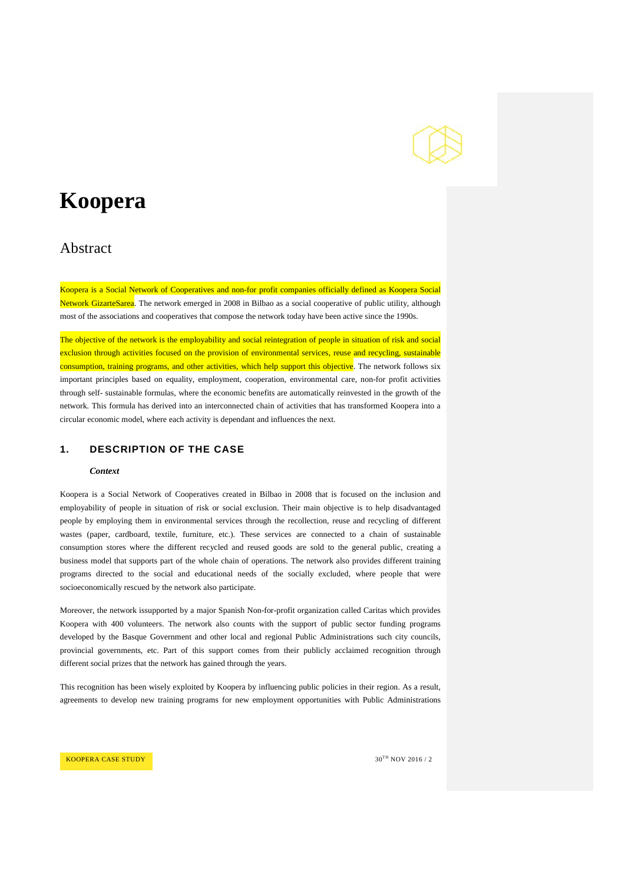

# **Koopera**

## Abstract

Koopera is a Social Network of Cooperatives and non-for profit companies officially defined as Koopera Social Network GizarteSarea. The network emerged in 2008 in Bilbao as a social cooperative of public utility, although most of the associations and cooperatives that compose the network today have been active since the 1990s.

The objective of the network is the employability and social reintegration of people in situation of risk and social exclusion through activities focused on the provision of environmental services, reuse and recycling, sustainable consumption, training programs, and other activities, which help support this objective. The network follows six important principles based on equality, employment, cooperation, environmental care, non-for profit activities through self- sustainable formulas, where the economic benefits are automatically reinvested in the growth of the network. This formula has derived into an interconnected chain of activities that has transformed Koopera into a circular economic model, where each activity is dependant and influences the next.

## **1. DESCRIPTION OF THE CASE**

#### *Context*

Koopera is a Social Network of Cooperatives created in Bilbao in 2008 that is focused on the inclusion and employability of people in situation of risk or social exclusion. Their main objective is to help disadvantaged people by employing them in environmental services through the recollection, reuse and recycling of different wastes (paper, cardboard, textile, furniture, etc.). These services are connected to a chain of sustainable consumption stores where the different recycled and reused goods are sold to the general public, creating a business model that supports part of the whole chain of operations. The network also provides different training programs directed to the social and educational needs of the socially excluded, where people that were socioeconomically rescued by the network also participate.

Moreover, the network issupported by a major Spanish Non-for-profit organization called Caritas which provides Koopera with 400 volunteers. The network also counts with the support of public sector funding programs developed by the Basque Government and other local and regional Public Administrations such city councils, provincial governments, etc. Part of this support comes from their publicly acclaimed recognition through different social prizes that the network has gained through the years.

This recognition has been wisely exploited by Koopera by influencing public policies in their region. As a result, agreements to develop new training programs for new employment opportunities with Public Administrations

KOOPERA CASE STUDY  $30^{TH}$  NOV 2016 / 2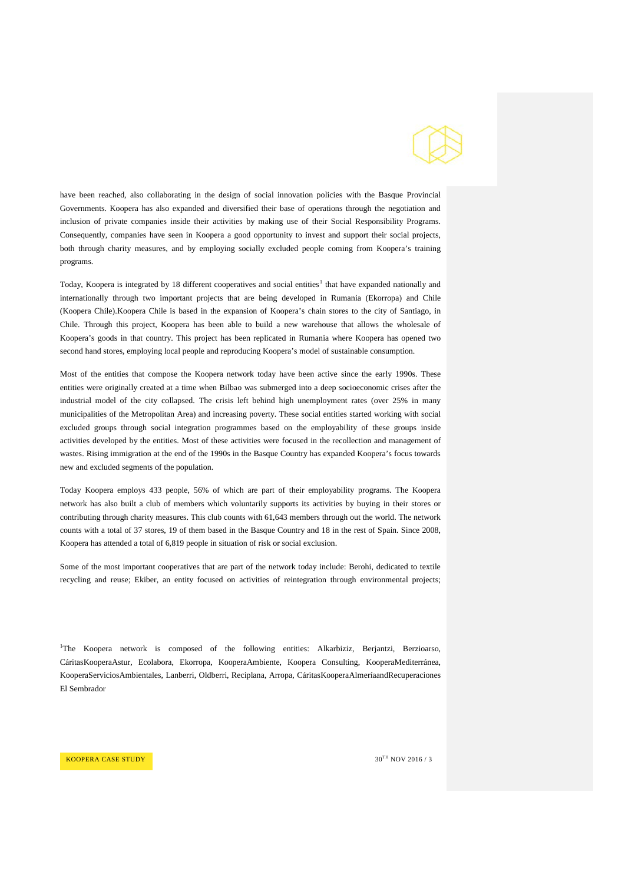

have been reached, also collaborating in the design of social innovation policies with the Basque Provincial Governments. Koopera has also expanded and diversified their base of operations through the negotiation and inclusion of private companies inside their activities by making use of their Social Responsibility Programs. Consequently, companies have seen in Koopera a good opportunity to invest and support their social projects, both through charity measures, and by employing socially excluded people coming from Koopera's training programs.

Today, Koopera is integrated by [1](#page-2-0)8 different cooperatives and social entities<sup>1</sup> that have expanded nationally and internationally through two important projects that are being developed in Rumania (Ekorropa) and Chile (Koopera Chile).Koopera Chile is based in the expansion of Koopera's chain stores to the city of Santiago, in Chile. Through this project, Koopera has been able to build a new warehouse that allows the wholesale of Koopera's goods in that country. This project has been replicated in Rumania where Koopera has opened two second hand stores, employing local people and reproducing Koopera's model of sustainable consumption.

Most of the entities that compose the Koopera network today have been active since the early 1990s. These entities were originally created at a time when Bilbao was submerged into a deep socioeconomic crises after the industrial model of the city collapsed. The crisis left behind high unemployment rates (over 25% in many municipalities of the Metropolitan Area) and increasing poverty. These social entities started working with social excluded groups through social integration programmes based on the employability of these groups inside activities developed by the entities. Most of these activities were focused in the recollection and management of wastes. Rising immigration at the end of the 1990s in the Basque Country has expanded Koopera's focus towards new and excluded segments of the population.

Today Koopera employs 433 people, 56% of which are part of their employability programs. The Koopera network has also built a club of members which voluntarily supports its activities by buying in their stores or contributing through charity measures. This club counts with 61,643 members through out the world. The network counts with a total of 37 stores, 19 of them based in the Basque Country and 18 in the rest of Spain. Since 2008, Koopera has attended a total of 6,819 people in situation of risk or social exclusion.

Some of the most important cooperatives that are part of the network today include: Berohi, dedicated to textile recycling and reuse; Ekiber, an entity focused on activities of reintegration through environmental projects;

<span id="page-2-0"></span>1 The Koopera network is composed of the following entities: Alkarbiziz, Berjantzi, Berzioarso, CáritasKooperaAstur, Ecolabora, Ekorropa, KooperaAmbiente, Koopera Consulting, KooperaMediterránea, KooperaServiciosAmbientales, Lanberri, Oldberri, Reciplana, Arropa, CáritasKooperaAlmeríaandRecuperaciones El Sembrador

**KOOPERA CASE STUDY 30<sup>TH</sup> NOV 2016 / 3**  $30^{\text{TH}}$  NOV 2016 / 3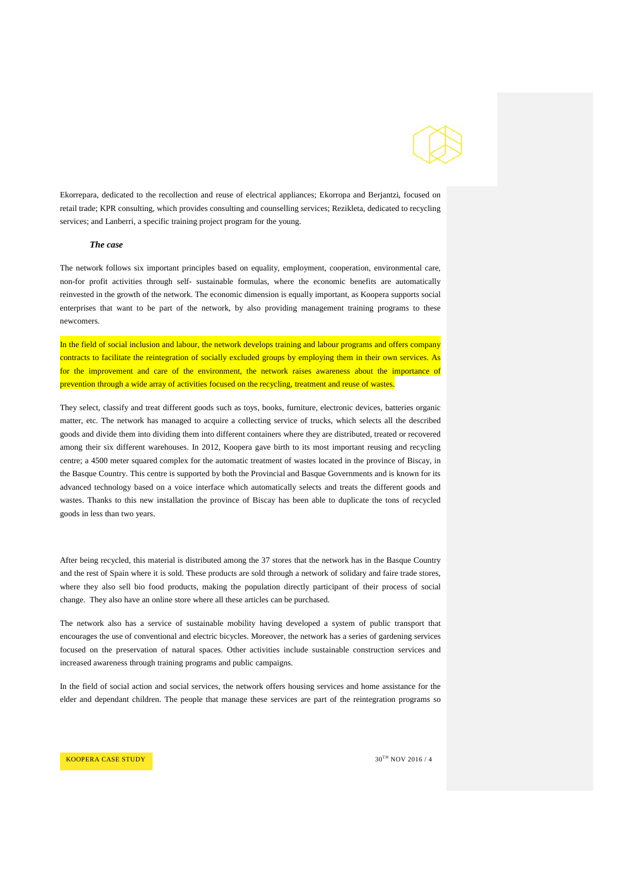

Ekorrepara, dedicated to the recollection and reuse of electrical appliances; Ekorropa and Berjantzi, focused on retail trade; KPR consulting, which provides consulting and counselling services; Rezikleta, dedicated to recycling services; and Lanberri, a specific training project program for the young.

#### *The case*

The network follows six important principles based on equality, employment, cooperation, environmental care, non-for profit activities through self- sustainable formulas, where the economic benefits are automatically reinvested in the growth of the network. The economic dimension is equally important, as Koopera supports social enterprises that want to be part of the network, by also providing management training programs to these newcomers.

In the field of social inclusion and labour, the network develops training and labour programs and offers company contracts to facilitate the reintegration of socially excluded groups by employing them in their own services. As for the improvement and care of the environment, the network raises awareness about the importance of prevention through a wide array of activities focused on the recycling, treatment and reuse of wastes.

They select, classify and treat different goods such as toys, books, furniture, electronic devices, batteries organic matter, etc. The network has managed to acquire a collecting service of trucks, which selects all the described goods and divide them into dividing them into different containers where they are distributed, treated or recovered among their six different warehouses. In 2012, Koopera gave birth to its most important reusing and recycling centre; a 4500 meter squared complex for the automatic treatment of wastes located in the province of Biscay, in the Basque Country. This centre is supported by both the Provincial and Basque Governments and is known for its advanced technology based on a voice interface which automatically selects and treats the different goods and wastes. Thanks to this new installation the province of Biscay has been able to duplicate the tons of recycled goods in less than two years.

After being recycled, this material is distributed among the 37 stores that the network has in the Basque Country and the rest of Spain where it is sold. These products are sold through a network of solidary and faire trade stores, where they also sell bio food products, making the population directly participant of their process of social change. They also have an online store where all these articles can be purchased.

The network also has a service of sustainable mobility having developed a system of public transport that encourages the use of conventional and electric bicycles. Moreover, the network has a series of gardening services focused on the preservation of natural spaces. Other activities include sustainable construction services and increased awareness through training programs and public campaigns.

In the field of social action and social services, the network offers housing services and home assistance for the elder and dependant children. The people that manage these services are part of the reintegration programs so

**KOOPERA CASE STUDY 30<sup>TH</sup> NOV 2016 / 4**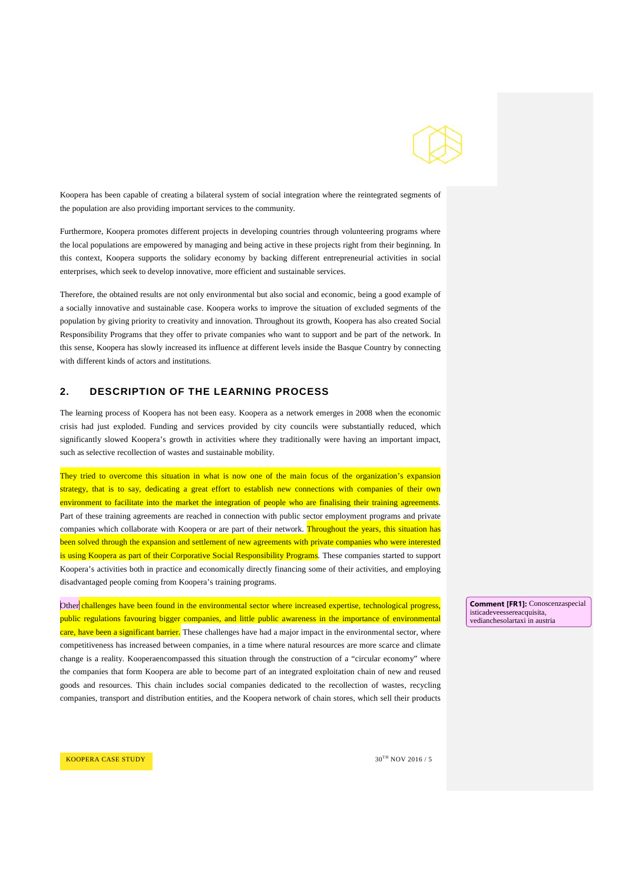

Koopera has been capable of creating a bilateral system of social integration where the reintegrated segments of the population are also providing important services to the community.

Furthermore, Koopera promotes different projects in developing countries through volunteering programs where the local populations are empowered by managing and being active in these projects right from their beginning. In this context, Koopera supports the solidary economy by backing different entrepreneurial activities in social enterprises, which seek to develop innovative, more efficient and sustainable services.

Therefore, the obtained results are not only environmental but also social and economic, being a good example of a socially innovative and sustainable case. Koopera works to improve the situation of excluded segments of the population by giving priority to creativity and innovation. Throughout its growth, Koopera has also created Social Responsibility Programs that they offer to private companies who want to support and be part of the network. In this sense, Koopera has slowly increased its influence at different levels inside the Basque Country by connecting with different kinds of actors and institutions.

### **2. DESCRIPTION OF THE LEARNING PROCESS**

The learning process of Koopera has not been easy. Koopera as a network emerges in 2008 when the economic crisis had just exploded. Funding and services provided by city councils were substantially reduced, which significantly slowed Koopera's growth in activities where they traditionally were having an important impact, such as selective recollection of wastes and sustainable mobility.

They tried to overcome this situation in what is now one of the main focus of the organization's expansion strategy, that is to say, dedicating a great effort to establish new connections with companies of their own environment to facilitate into the market the integration of people who are finalising their training agreements. Part of these training agreements are reached in connection with public sector employment programs and private companies which collaborate with Koopera or are part of their network. Throughout the years, this situation has been solved through the expansion and settlement of new agreements with private companies who were interested is using Koopera as part of their Corporative Social Responsibility Programs. These companies started to support Koopera's activities both in practice and economically directly financing some of their activities, and employing disadvantaged people coming from Koopera's training programs.

Other challenges have been found in the environmental sector where increased expertise, technological progress public regulations favouring bigger companies, and little public awareness in the importance of environmental care, have been a significant barrier. These challenges have had a major impact in the environmental sector, where competitiveness has increased between companies, in a time where natural resources are more scarce and climate change is a reality. Kooperaencompassed this situation through the construction of a "circular economy" where the companies that form Koopera are able to become part of an integrated exploitation chain of new and reused goods and resources. This chain includes social companies dedicated to the recollection of wastes, recycling companies, transport and distribution entities, and the Koopera network of chain stores, which sell their products

**Comment [FR1]:** Conoscenzaspecial isticadeveessereacquisita, vedianchesolartaxi in austria

**KOOPERA CASE STUDY 30<sup>TH</sup> NOV 2016 / 5 31<sup>TH</sup> NOV 2016 / 5**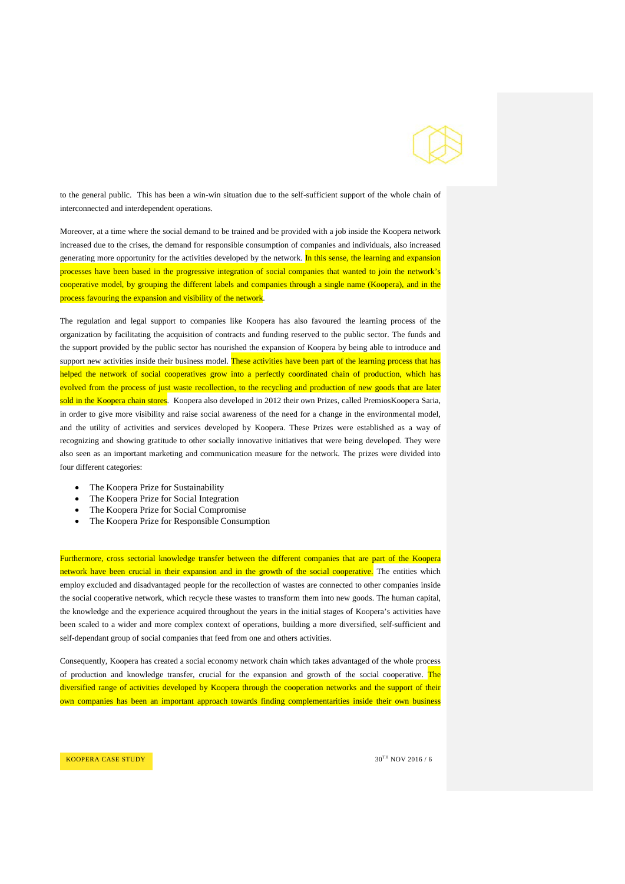

to the general public. This has been a win-win situation due to the self-sufficient support of the whole chain of interconnected and interdependent operations.

Moreover, at a time where the social demand to be trained and be provided with a job inside the Koopera network increased due to the crises, the demand for responsible consumption of companies and individuals, also increased generating more opportunity for the activities developed by the network. In this sense, the learning and expansion processes have been based in the progressive integration of social companies that wanted to join the network's cooperative model, by grouping the different labels and companies through a single name (Koopera), and in the process favouring the expansion and visibility of the network.

The regulation and legal support to companies like Koopera has also favoured the learning process of the organization by facilitating the acquisition of contracts and funding reserved to the public sector. The funds and the support provided by the public sector has nourished the expansion of Koopera by being able to introduce and support new activities inside their business model. These activities have been part of the learning process that has helped the network of social cooperatives grow into a perfectly coordinated chain of production, which has evolved from the process of just waste recollection, to the recycling and production of new goods that are later sold in the Koopera chain stores. Koopera also developed in 2012 their own Prizes, called PremiosKoopera Saria, in order to give more visibility and raise social awareness of the need for a change in the environmental model, and the utility of activities and services developed by Koopera. These Prizes were established as a way of recognizing and showing gratitude to other socially innovative initiatives that were being developed. They were also seen as an important marketing and communication measure for the network. The prizes were divided into four different categories:

- The Koopera Prize for Sustainability
- The Koopera Prize for Social Integration
- The Koopera Prize for Social Compromise
- The Koopera Prize for Responsible Consumption

Furthermore, cross sectorial knowledge transfer between the different companies that are part of the Koopera network have been crucial in their expansion and in the growth of the social cooperative. The entities which employ excluded and disadvantaged people for the recollection of wastes are connected to other companies inside the social cooperative network, which recycle these wastes to transform them into new goods. The human capital, the knowledge and the experience acquired throughout the years in the initial stages of Koopera's activities have been scaled to a wider and more complex context of operations, building a more diversified, self-sufficient and self-dependant group of social companies that feed from one and others activities.

Consequently, Koopera has created a social economy network chain which takes advantaged of the whole process of production and knowledge transfer, crucial for the expansion and growth of the social cooperative. The diversified range of activities developed by Koopera through the cooperation networks and the support of their own companies has been an important approach towards finding complementarities inside their own business

**KOOPERA CASE STUDY 30<sup>TH</sup> NOV 2016 / 6 30<sup>TH</sup> NOV 2016 / 6**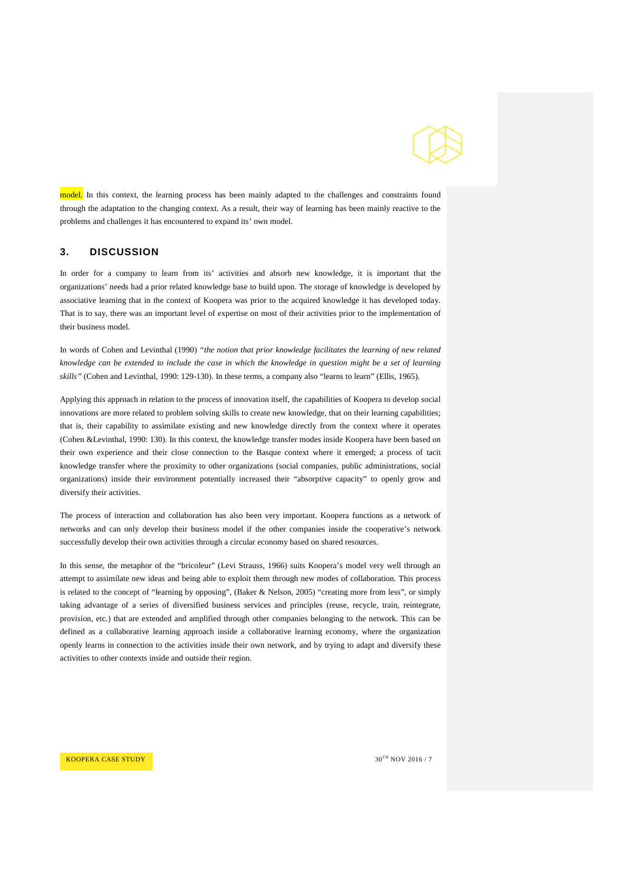

model. In this context, the learning process has been mainly adapted to the challenges and constraints found through the adaptation to the changing context. As a result, their way of learning has been mainly reactive to the problems and challenges it has encountered to expand its' own model.

## **3. DISCUSSION**

In order for a company to learn from its' activities and absorb new knowledge, it is important that the organizations' needs had a prior related knowledge base to build upon. The storage of knowledge is developed by associative learning that in the context of Koopera was prior to the acquired knowledge it has developed today. That is to say, there was an important level of expertise on most of their activities prior to the implementation of their business model.

In words of Cohen and Levinthal (1990) *"the notion that prior knowledge facilitates the learning of new related knowledge can be extended to include the case in which the knowledge in question might be a set of learning skills"* (Cohen and Levinthal, 1990: 129-130). In these terms, a company also "learns to learn" (Ellis, 1965).

Applying this approach in relation to the process of innovation itself, the capabilities of Koopera to develop social innovations are more related to problem solving skills to create new knowledge, that on their learning capabilities; that is, their capability to assimilate existing and new knowledge directly from the context where it operates (Cohen &Levinthal, 1990: 130). In this context, the knowledge transfer modes inside Koopera have been based on their own experience and their close connection to the Basque context where it emerged; a process of tacit knowledge transfer where the proximity to other organizations (social companies, public administrations, social organizations) inside their environment potentially increased their "absorptive capacity" to openly grow and diversify their activities.

The process of interaction and collaboration has also been very important. Koopera functions as a network of networks and can only develop their business model if the other companies inside the cooperative's network successfully develop their own activities through a circular economy based on shared resources.

In this sense, the metaphor of the "bricoleur" (Levi Strauss, 1966) suits Koopera's model very well through an attempt to assimilate new ideas and being able to exploit them through new modes of collaboration. This process is related to the concept of "learning by opposing", (Baker & Nelson, 2005) "creating more from less", or simply taking advantage of a series of diversified business services and principles (reuse, recycle, train, reintegrate, provision, etc.) that are extended and amplified through other companies belonging to the network. This can be defined as a collaborative learning approach inside a collaborative learning economy, where the organization openly learns in connection to the activities inside their own network, and by trying to adapt and diversify these activities to other contexts inside and outside their region.

**KOOPERA CASE STUDY SUBSEX 10 CONSUMING A CASE STUDY 30<sup>TH</sup> NOV 2016 / 7 30<sup>TH</sup> NOV 2016 / 7**